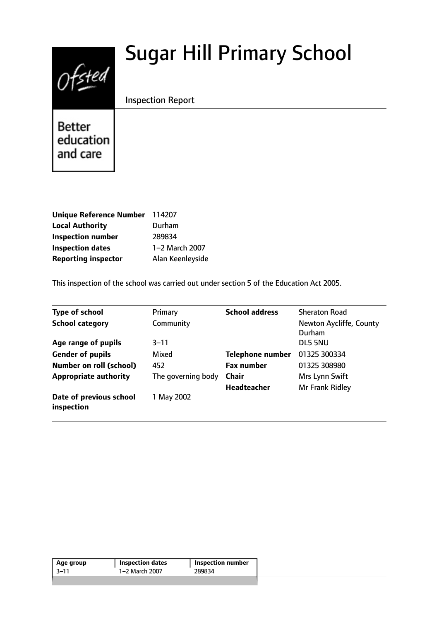# Sugar Hill Primary School



Inspection Report

**Better** education and care

| Unique Reference Number 114207 |                  |
|--------------------------------|------------------|
| <b>Local Authority</b>         | Durham           |
| <b>Inspection number</b>       | 289834           |
| <b>Inspection dates</b>        | 1-2 March 2007   |
| <b>Reporting inspector</b>     | Alan Keenleyside |

This inspection of the school was carried out under section 5 of the Education Act 2005.

| <b>Type of school</b>                 | Primary            | <b>School address</b>   | <b>Sheraton Road</b>              |
|---------------------------------------|--------------------|-------------------------|-----------------------------------|
| <b>School category</b>                | Community          |                         | Newton Aycliffe, County<br>Durham |
| Age range of pupils                   | $3 - 11$           |                         | DL5 5NU                           |
| <b>Gender of pupils</b>               | Mixed              | <b>Telephone number</b> | 01325 300334                      |
| <b>Number on roll (school)</b>        | 452                | <b>Fax number</b>       | 01325 308980                      |
| <b>Appropriate authority</b>          | The governing body | <b>Chair</b>            | Mrs Lynn Swift                    |
|                                       |                    | <b>Headteacher</b>      | Mr Frank Ridley                   |
| Date of previous school<br>inspection | 1 May 2002         |                         |                                   |

| 1–2 March 2007<br>3–11<br>289834 | Age group | <b>Inspection dates</b> | Inspection number |  |
|----------------------------------|-----------|-------------------------|-------------------|--|
|                                  |           |                         |                   |  |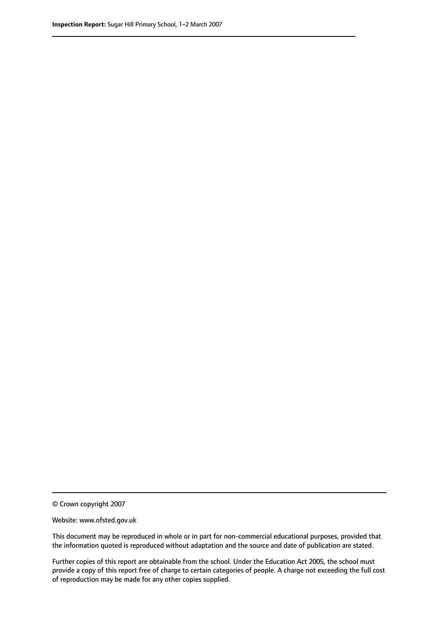© Crown copyright 2007

Website: www.ofsted.gov.uk

This document may be reproduced in whole or in part for non-commercial educational purposes, provided that the information quoted is reproduced without adaptation and the source and date of publication are stated.

Further copies of this report are obtainable from the school. Under the Education Act 2005, the school must provide a copy of this report free of charge to certain categories of people. A charge not exceeding the full cost of reproduction may be made for any other copies supplied.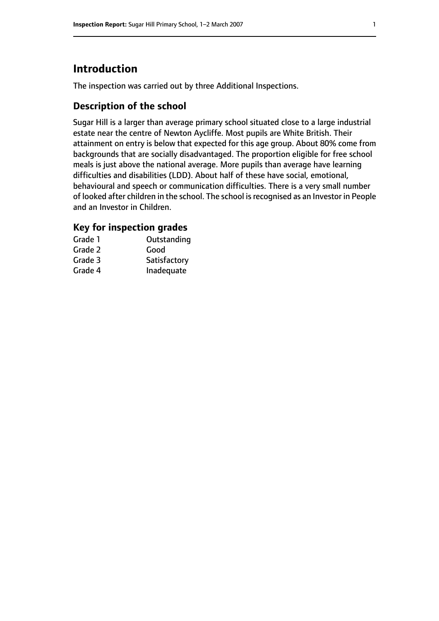## **Introduction**

The inspection was carried out by three Additional Inspections.

## **Description of the school**

Sugar Hill is a larger than average primary school situated close to a large industrial estate near the centre of Newton Aycliffe. Most pupils are White British. Their attainment on entry is below that expected for this age group. About 80% come from backgrounds that are socially disadvantaged. The proportion eligible for free school meals is just above the national average. More pupils than average have learning difficulties and disabilities (LDD). About half of these have social, emotional, behavioural and speech or communication difficulties. There is a very small number of looked after children in the school. The school isrecognised as an Investor in People and an Investor in Children.

## **Key for inspection grades**

| Grade 1 | Outstanding  |
|---------|--------------|
| Grade 2 | Good         |
| Grade 3 | Satisfactory |
| Grade 4 | Inadequate   |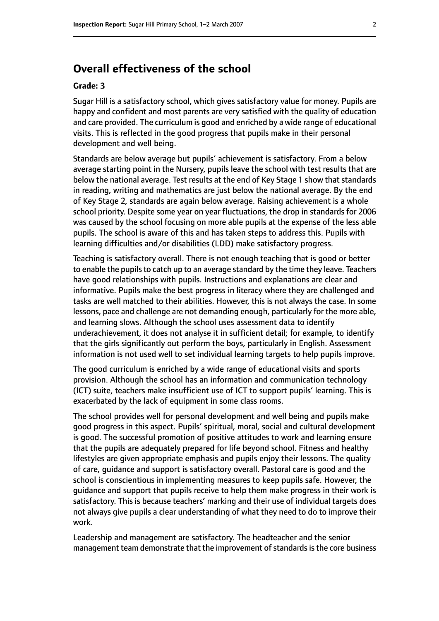## **Overall effectiveness of the school**

#### **Grade: 3**

Sugar Hill is a satisfactory school, which gives satisfactory value for money. Pupils are happy and confident and most parents are very satisfied with the quality of education and care provided. The curriculum is good and enriched by a wide range of educational visits. This is reflected in the good progress that pupils make in their personal development and well being.

Standards are below average but pupils' achievement is satisfactory. From a below average starting point in the Nursery, pupils leave the school with test results that are below the national average. Test results at the end of Key Stage 1 show that standards in reading, writing and mathematics are just below the national average. By the end of Key Stage 2, standards are again below average. Raising achievement is a whole school priority. Despite some year on year fluctuations, the drop in standards for 2006 was caused by the school focusing on more able pupils at the expense of the less able pupils. The school is aware of this and has taken steps to address this. Pupils with learning difficulties and/or disabilities (LDD) make satisfactory progress.

Teaching is satisfactory overall. There is not enough teaching that is good or better to enable the pupils to catch up to an average standard by the time they leave. Teachers have good relationships with pupils. Instructions and explanations are clear and informative. Pupils make the best progress in literacy where they are challenged and tasks are well matched to their abilities. However, this is not always the case. In some lessons, pace and challenge are not demanding enough, particularly for the more able, and learning slows. Although the school uses assessment data to identify underachievement, it does not analyse it in sufficient detail; for example, to identify that the girls significantly out perform the boys, particularly in English. Assessment information is not used well to set individual learning targets to help pupils improve.

The good curriculum is enriched by a wide range of educational visits and sports provision. Although the school has an information and communication technology (ICT) suite, teachers make insufficient use of ICT to support pupils' learning. This is exacerbated by the lack of equipment in some class rooms.

The school provides well for personal development and well being and pupils make good progress in this aspect. Pupils' spiritual, moral, social and cultural development is good. The successful promotion of positive attitudes to work and learning ensure that the pupils are adequately prepared for life beyond school. Fitness and healthy lifestyles are given appropriate emphasis and pupils enjoy their lessons. The quality of care, guidance and support is satisfactory overall. Pastoral care is good and the school is conscientious in implementing measures to keep pupils safe. However, the guidance and support that pupils receive to help them make progress in their work is satisfactory. This is because teachers' marking and their use of individual targets does not always give pupils a clear understanding of what they need to do to improve their work.

Leadership and management are satisfactory. The headteacher and the senior management team demonstrate that the improvement of standards is the core business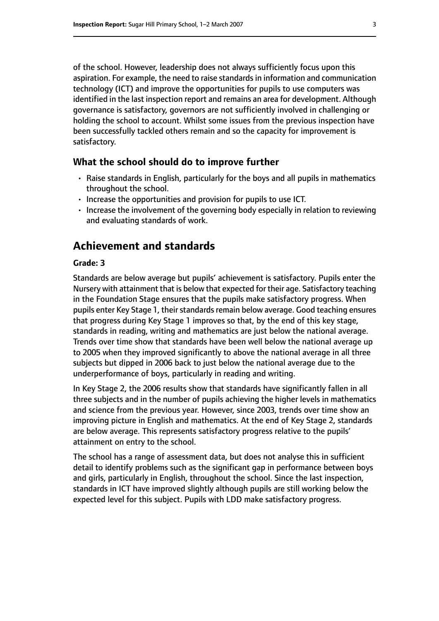of the school. However, leadership does not always sufficiently focus upon this aspiration. For example, the need to raise standards in information and communication technology (ICT) and improve the opportunities for pupils to use computers was identified in the last inspection report and remains an area for development. Although governance is satisfactory, governors are not sufficiently involved in challenging or holding the school to account. Whilst some issues from the previous inspection have been successfully tackled others remain and so the capacity for improvement is satisfactory.

#### **What the school should do to improve further**

- Raise standards in English, particularly for the boys and all pupils in mathematics throughout the school.
- Increase the opportunities and provision for pupils to use ICT.
- Increase the involvement of the governing body especially in relation to reviewing and evaluating standards of work.

## **Achievement and standards**

#### **Grade: 3**

Standards are below average but pupils' achievement is satisfactory. Pupils enter the Nursery with attainment that is below that expected for their age. Satisfactory teaching in the Foundation Stage ensures that the pupils make satisfactory progress. When pupils enter Key Stage 1, their standards remain below average. Good teaching ensures that progress during Key Stage 1 improves so that, by the end of this key stage, standards in reading, writing and mathematics are just below the national average. Trends over time show that standards have been well below the national average up to 2005 when they improved significantly to above the national average in all three subjects but dipped in 2006 back to just below the national average due to the underperformance of boys, particularly in reading and writing.

In Key Stage 2, the 2006 results show that standards have significantly fallen in all three subjects and in the number of pupils achieving the higher levels in mathematics and science from the previous year. However, since 2003, trends over time show an improving picture in English and mathematics. At the end of Key Stage 2, standards are below average. This represents satisfactory progress relative to the pupils' attainment on entry to the school.

The school has a range of assessment data, but does not analyse this in sufficient detail to identify problems such as the significant gap in performance between boys and girls, particularly in English, throughout the school. Since the last inspection, standards in ICT have improved slightly although pupils are still working below the expected level for this subject. Pupils with LDD make satisfactory progress.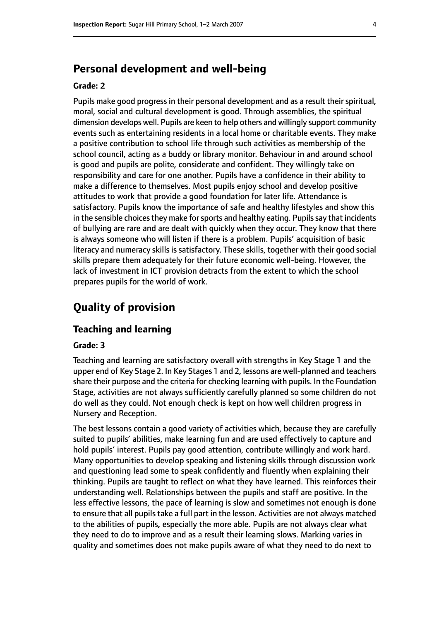## **Personal development and well-being**

#### **Grade: 2**

Pupils make good progress in their personal development and as a result their spiritual, moral, social and cultural development is good. Through assemblies, the spiritual dimension develops well. Pupils are keen to help others and willingly support community events such as entertaining residents in a local home or charitable events. They make a positive contribution to school life through such activities as membership of the school council, acting as a buddy or library monitor. Behaviour in and around school is good and pupils are polite, considerate and confident. They willingly take on responsibility and care for one another. Pupils have a confidence in their ability to make a difference to themselves. Most pupils enjoy school and develop positive attitudes to work that provide a good foundation for later life. Attendance is satisfactory. Pupils know the importance of safe and healthy lifestyles and show this in the sensible choices they make for sports and healthy eating. Pupils say that incidents of bullying are rare and are dealt with quickly when they occur. They know that there is always someone who will listen if there is a problem. Pupils' acquisition of basic literacy and numeracy skills is satisfactory. These skills, together with their good social skills prepare them adequately for their future economic well-being. However, the lack of investment in ICT provision detracts from the extent to which the school prepares pupils for the world of work.

## **Quality of provision**

### **Teaching and learning**

#### **Grade: 3**

Teaching and learning are satisfactory overall with strengths in Key Stage 1 and the upper end of Key Stage 2. In Key Stages 1 and 2, lessons are well-planned and teachers share their purpose and the criteria for checking learning with pupils. In the Foundation Stage, activities are not always sufficiently carefully planned so some children do not do well as they could. Not enough check is kept on how well children progress in Nursery and Reception.

The best lessons contain a good variety of activities which, because they are carefully suited to pupils' abilities, make learning fun and are used effectively to capture and hold pupils' interest. Pupils pay good attention, contribute willingly and work hard. Many opportunities to develop speaking and listening skills through discussion work and questioning lead some to speak confidently and fluently when explaining their thinking. Pupils are taught to reflect on what they have learned. This reinforces their understanding well. Relationships between the pupils and staff are positive. In the less effective lessons, the pace of learning is slow and sometimes not enough is done to ensure that all pupils take a full part in the lesson. Activities are not always matched to the abilities of pupils, especially the more able. Pupils are not always clear what they need to do to improve and as a result their learning slows. Marking varies in quality and sometimes does not make pupils aware of what they need to do next to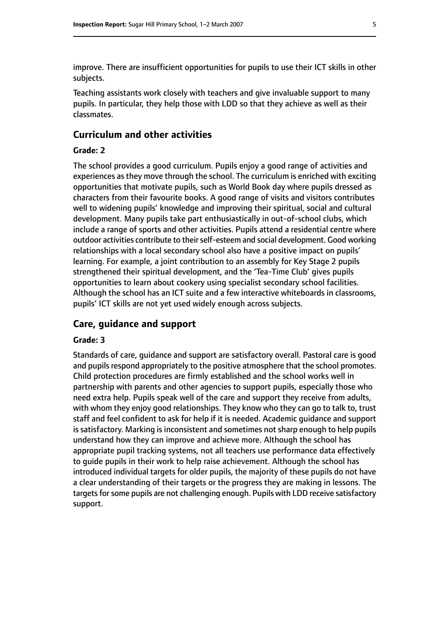improve. There are insufficient opportunities for pupils to use their ICT skills in other subjects.

Teaching assistants work closely with teachers and give invaluable support to many pupils. In particular, they help those with LDD so that they achieve as well as their classmates.

#### **Curriculum and other activities**

#### **Grade: 2**

The school provides a good curriculum. Pupils enjoy a good range of activities and experiences as they move through the school. The curriculum is enriched with exciting opportunities that motivate pupils, such as World Book day where pupils dressed as characters from their favourite books. A good range of visits and visitors contributes well to widening pupils' knowledge and improving their spiritual, social and cultural development. Many pupils take part enthusiastically in out-of-school clubs, which include a range of sports and other activities. Pupils attend a residential centre where outdoor activities contribute to their self-esteem and social development. Good working relationships with a local secondary school also have a positive impact on pupils' learning. For example, a joint contribution to an assembly for Key Stage 2 pupils strengthened their spiritual development, and the 'Tea-Time Club' gives pupils opportunities to learn about cookery using specialist secondary school facilities. Although the school has an ICT suite and a few interactive whiteboards in classrooms, pupils' ICT skills are not yet used widely enough across subjects.

#### **Care, guidance and support**

#### **Grade: 3**

Standards of care, guidance and support are satisfactory overall. Pastoral care is good and pupils respond appropriately to the positive atmosphere that the school promotes. Child protection procedures are firmly established and the school works well in partnership with parents and other agencies to support pupils, especially those who need extra help. Pupils speak well of the care and support they receive from adults, with whom they enjoy good relationships. They know who they can go to talk to, trust staff and feel confident to ask for help if it is needed. Academic guidance and support is satisfactory. Marking is inconsistent and sometimes not sharp enough to help pupils understand how they can improve and achieve more. Although the school has appropriate pupil tracking systems, not all teachers use performance data effectively to guide pupils in their work to help raise achievement. Although the school has introduced individual targets for older pupils, the majority of these pupils do not have a clear understanding of their targets or the progress they are making in lessons. The targets for some pupils are not challenging enough. Pupils with LDD receive satisfactory support.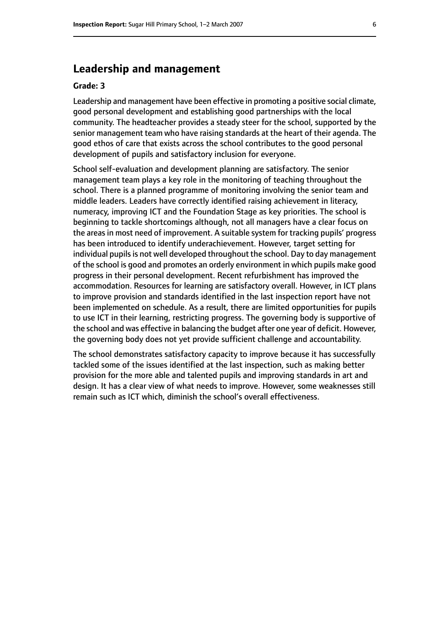## **Leadership and management**

#### **Grade: 3**

Leadership and management have been effective in promoting a positive social climate, good personal development and establishing good partnerships with the local community. The headteacher provides a steady steer for the school, supported by the senior management team who have raising standards at the heart of their agenda. The good ethos of care that exists across the school contributes to the good personal development of pupils and satisfactory inclusion for everyone.

School self-evaluation and development planning are satisfactory. The senior management team plays a key role in the monitoring of teaching throughout the school. There is a planned programme of monitoring involving the senior team and middle leaders. Leaders have correctly identified raising achievement in literacy, numeracy, improving ICT and the Foundation Stage as key priorities. The school is beginning to tackle shortcomings although, not all managers have a clear focus on the areas in most need of improvement. A suitable system for tracking pupils' progress has been introduced to identify underachievement. However, target setting for individual pupils is not well developed throughout the school. Day to day management of the school is good and promotes an orderly environment in which pupils make good progress in their personal development. Recent refurbishment has improved the accommodation. Resources for learning are satisfactory overall. However, in ICT plans to improve provision and standards identified in the last inspection report have not been implemented on schedule. As a result, there are limited opportunities for pupils to use ICT in their learning, restricting progress. The governing body is supportive of the school and was effective in balancing the budget after one year of deficit. However, the governing body does not yet provide sufficient challenge and accountability.

The school demonstrates satisfactory capacity to improve because it has successfully tackled some of the issues identified at the last inspection, such as making better provision for the more able and talented pupils and improving standards in art and design. It has a clear view of what needs to improve. However, some weaknesses still remain such as ICT which, diminish the school's overall effectiveness.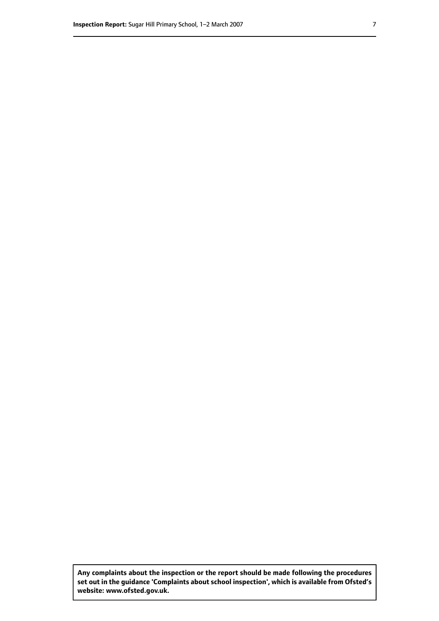**Any complaints about the inspection or the report should be made following the procedures set out inthe guidance 'Complaints about school inspection', whichis available from Ofsted's website: www.ofsted.gov.uk.**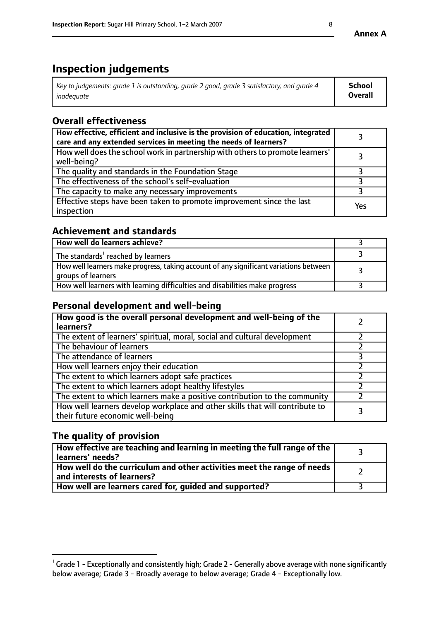## **Inspection judgements**

| Key to judgements: grade 1 is outstanding, grade 2 good, grade 3 satisfactory, and grade 4 | School         |
|--------------------------------------------------------------------------------------------|----------------|
| inadeauate                                                                                 | <b>Overall</b> |

## **Overall effectiveness**

| How effective, efficient and inclusive is the provision of education, integrated<br>care and any extended services in meeting the needs of learners? |     |
|------------------------------------------------------------------------------------------------------------------------------------------------------|-----|
| How well does the school work in partnership with others to promote learners'<br>well-being?                                                         |     |
| The quality and standards in the Foundation Stage                                                                                                    |     |
| The effectiveness of the school's self-evaluation                                                                                                    |     |
| The capacity to make any necessary improvements                                                                                                      |     |
| Effective steps have been taken to promote improvement since the last<br>inspection                                                                  | Yes |

## **Achievement and standards**

| How well do learners achieve?                                                                               |  |
|-------------------------------------------------------------------------------------------------------------|--|
| The standards <sup>1</sup> reached by learners                                                              |  |
| How well learners make progress, taking account of any significant variations between<br>groups of learners |  |
| How well learners with learning difficulties and disabilities make progress                                 |  |

## **Personal development and well-being**

| How good is the overall personal development and well-being of the<br>learners?                                  |  |
|------------------------------------------------------------------------------------------------------------------|--|
| The extent of learners' spiritual, moral, social and cultural development                                        |  |
| The behaviour of learners                                                                                        |  |
| The attendance of learners                                                                                       |  |
| How well learners enjoy their education                                                                          |  |
| The extent to which learners adopt safe practices                                                                |  |
| The extent to which learners adopt healthy lifestyles                                                            |  |
| The extent to which learners make a positive contribution to the community                                       |  |
| How well learners develop workplace and other skills that will contribute to<br>their future economic well-being |  |

## **The quality of provision**

| $\Box$ How effective are teaching and learning in meeting the full range of the $\Box$<br>  learners' needs?        |  |
|---------------------------------------------------------------------------------------------------------------------|--|
| $\mid$ How well do the curriculum and other activities meet the range of needs<br>$\mid$ and interests of learners? |  |
| How well are learners cared for, guided and supported?                                                              |  |

 $^1$  Grade 1 - Exceptionally and consistently high; Grade 2 - Generally above average with none significantly below average; Grade 3 - Broadly average to below average; Grade 4 - Exceptionally low.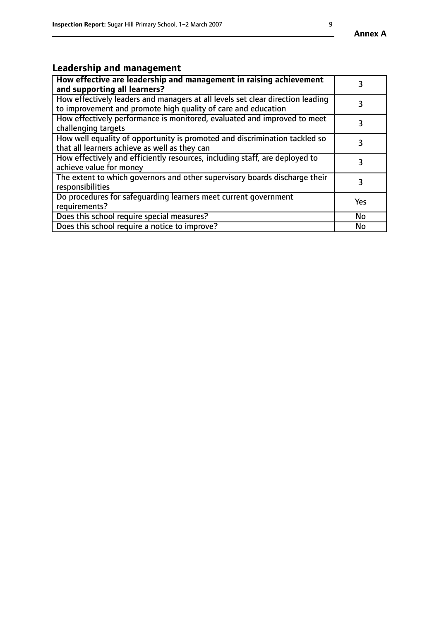#### **Annex A**

## **Leadership and management**

| How effective are leadership and management in raising achievement<br>and supporting all learners?                                              |           |
|-------------------------------------------------------------------------------------------------------------------------------------------------|-----------|
| How effectively leaders and managers at all levels set clear direction leading<br>to improvement and promote high quality of care and education |           |
| How effectively performance is monitored, evaluated and improved to meet<br>challenging targets                                                 | 3         |
| How well equality of opportunity is promoted and discrimination tackled so<br>that all learners achieve as well as they can                     | 3         |
| How effectively and efficiently resources, including staff, are deployed to<br>achieve value for money                                          | 3         |
| The extent to which governors and other supervisory boards discharge their<br>responsibilities                                                  | 3         |
| Do procedures for safequarding learners meet current government<br>requirements?                                                                | Yes       |
| Does this school require special measures?                                                                                                      | No        |
| Does this school require a notice to improve?                                                                                                   | <b>No</b> |